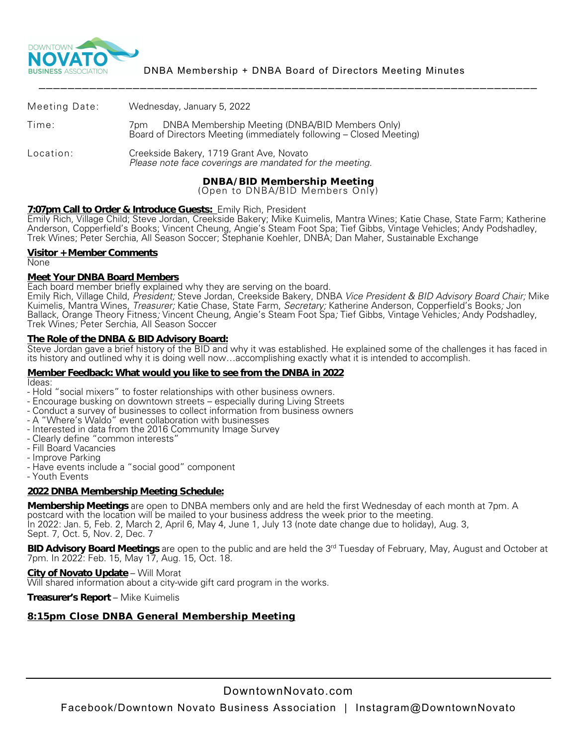

|               | <b>DNBA/BID Membership Meeting</b>                                                                                         |
|---------------|----------------------------------------------------------------------------------------------------------------------------|
| Location:     | Creekside Bakery, 1719 Grant Ave, Novato<br>Please note face coverings are mandated for the meeting.                       |
| Time:         | 7pm DNBA Membership Meeting (DNBA/BID Members Only)<br>Board of Directors Meeting (immediately following – Closed Meeting) |
| Meeting Date: | Wednesday, January 5, 2022                                                                                                 |

(Open to DNBA/BID Members Only)

# **7:07pm Call to Order & Introduce Guests:** Emily Rich, President

Emily Rich, Village Child; Steve Jordan, Creekside Bakery; Mike Kuimelis, Mantra Wines; Katie Chase, State Farm; Katherine Anderson, Copperfield's Books; Vincent Cheung, Angie's Steam Foot Spa; Tief Gibbs, Vintage Vehicles; Andy Podshadley, Trek Wines; Peter Serchia, All Season Soccer; Stephanie Koehler, DNBA; Dan Maher, Sustainable Exchange

## **Visitor + Member Comments**

None

# **Meet Your DNBA Board Members**<br>Each board member briefly explained why they are serving on the board.

Emily Rich, Village Child, *President;* Steve Jordan, Creekside Bakery, DNBA *Vice President & BID Advisory Board Chair;* Mike Kuimelis, Mantra Wines, *Treasurer;* Katie Chase, State Farm, *Secretary;* Katherine Anderson, Copperfield's Books*;* Jon Ballack, Orange Theory Fitness*;* Vincent Cheung, Angie's Steam Foot Spa*;* Tief Gibbs, Vintage Vehicles*;* Andy Podshadley, Trek Wines*;* Peter Serchia, All Season Soccer

## **The Role of the DNBA & BID Advisory Board:**

Steve Jordan gave a brief history of the BID and why it was established. He explained some of the challenges it has faced in its history and outlined why it is doing well now…accomplishing exactly what it is intended to accomplish.

#### **Member Feedback: What would you like to see from the DNBA in 2022** Ideas:

- 
- Hold "social mixers" to foster relationships with other business owners.<br>- Encourage busking on downtown streets especially during Living Streets
- Conduct a survey of businesses to collect information from business owners<br>- A "Where's Waldo" event collaboration with businesses<br>- Interested in data from the 2016 Community Image Survey
- 
- 
- Clearly define "common interests" Fill Board Vacancies
- 
- 
- Have events include a "social good" component<br>- Youth Events
- 

# **2022 DNBA Membership Meeting Schedule:**

**Membership Meetings** are open to DNBA members only and are held the first Wednesday of each month at 7pm. A postcard with the location will be mailed to your business address the week prior to the meeting. In 2022: Jan. 5, Feb. 2, March 2, April 6, May 4, June 1, July 13 (note date change due to holiday), Aug. 3, Sept. 7, Oct. 5, Nov. 2, Dec. 7

**BID Advisory Board Meetings** are open to the public and are held the 3<sup>rd</sup> Tuesday of February, May, August and October at 7pm. In 2022: Feb. 15, May 17, Aug. 15, Oct. 18.

**City of Novato Update** – Will Morat Will shared information about a city-wide gift card program in the works.

**Treasurer's Report** – Mike Kuimelis

# **8:15pm Close DNBA General Membership Meeting**